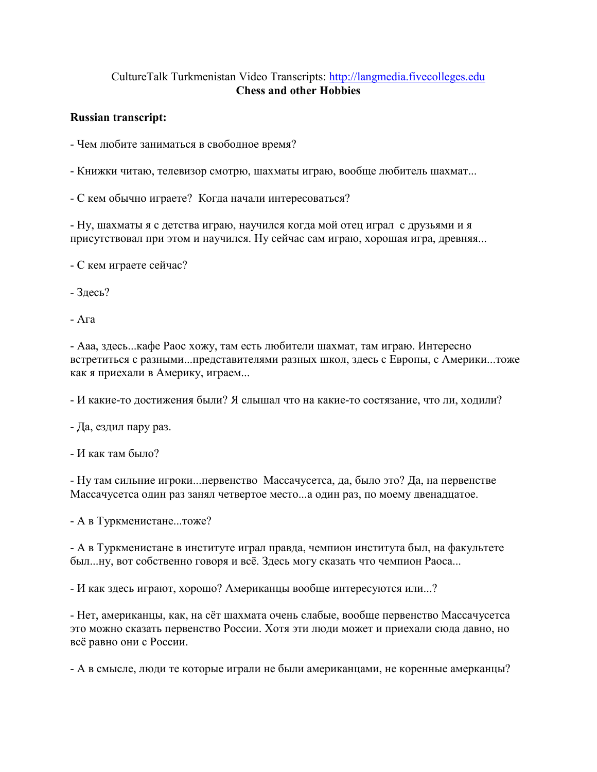## CultureTalk Turkmenistan Video Transcripts: [http://langmedia.fivecolleges.edu](http://langmedia.fivecolleges.edu/) Chess and other Hobbies

## Russian transcript:

- Чем любите заниматься в свободное время?
- Книжки читаю, телевизор смотрю, шахматы играю, вообще любитель шахмат...
- С кем обычно играете? Когда начали интересоваться?

- Ну, шахматы я с детства играю, научился когда мой отец играл с друзьями и я присутствовал при этом и научился. Ну сейчас сам играю, хорошая игра, древняя...

- С кем играете сейчас?
- Здесь?
- Ага

- Ааа, здесь...кафе Раос хожу, там есть любители шахмат, там играю. Интересно встретиться с разными...представителями разных школ, здесь с Европы, с Америки...тоже как я приехали в Америку, играем...

- И какие-то достижения были? Я слышал что на какие-то состязание, что ли, ходили?

- Да, ездил пару раз.

- И как там было?

- Ну там сильние игроки...первенство Массачусетса, да, было это? Да, на первенстве Массачусетса один раз занял четвертое место...а один раз, по моему двенадцатое.

- А в Туркменистане...тоже?

- А в Туркменистане в институте играл правда, чемпион института был, на факультете был...ну, вот собственно говоря и всё. Здесь могу сказать что чемпион Раоса...

- И как здесь играют, хорошо? Американцы вообще интересуются или...?

- Нет, американцы, как, на сёт шахмата очень слабые, вообще первенство Массачусетса это можно сказать первенство России. Хотя эти люди может и приехали сюда давно, но всё равно они с России.

- А в смысле, люди те которые играли не были американцами, не коренные амерканцы?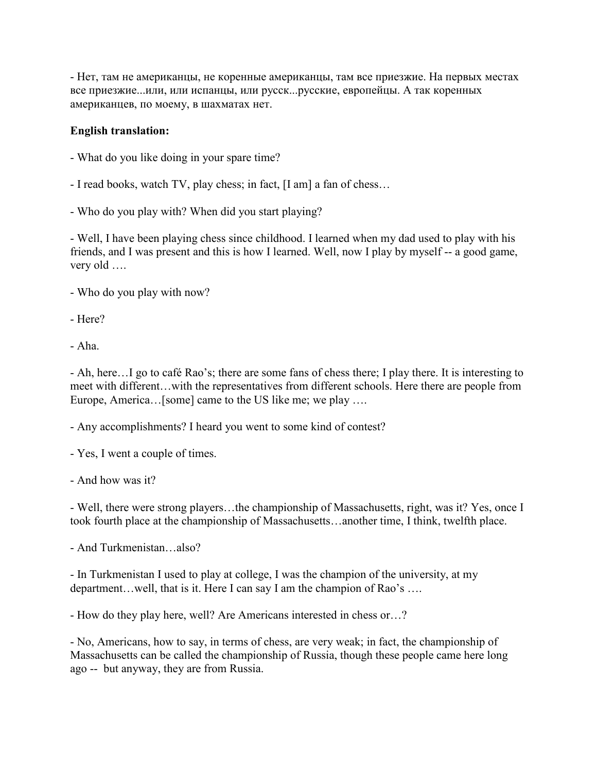- Нет, там не американцы, не коренные американцы, там все приезжие. На первых местах все приезжие...или, или испанцы, или русск...русские, европейцы. А так коренных американцев, по моему, в шахматах нет.

## English translation:

- What do you like doing in your spare time?
- I read books, watch TV, play chess; in fact, [I am] a fan of chess…
- Who do you play with? When did you start playing?

- Well, I have been playing chess since childhood. I learned when my dad used to play with his friends, and I was present and this is how I learned. Well, now I play by myself -- a good game, very old ….

- Who do you play with now?
- Here?
- Aha.

- Ah, here…I go to café Rao's; there are some fans of chess there; I play there. It is interesting to meet with different…with the representatives from different schools. Here there are people from Europe, America... [some] came to the US like me; we play ....

- Any accomplishments? I heard you went to some kind of contest?

- Yes, I went a couple of times.
- And how was it?

- Well, there were strong players…the championship of Massachusetts, right, was it? Yes, once I took fourth place at the championship of Massachusetts…another time, I think, twelfth place.

- And Turkmenistan…also?

- In Turkmenistan I used to play at college, I was the champion of the university, at my department…well, that is it. Here I can say I am the champion of Rao's ….

- How do they play here, well? Are Americans interested in chess or…?

- No, Americans, how to say, in terms of chess, are very weak; in fact, the championship of Massachusetts can be called the championship of Russia, though these people came here long ago -- but anyway, they are from Russia.